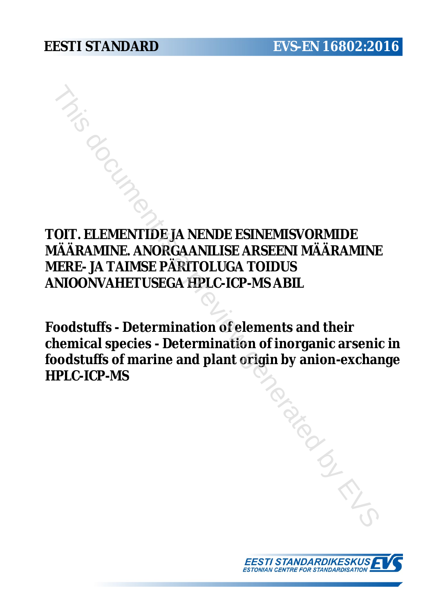**TOIT. ELEMENTIDE JA NENDE ESINEMISVORMIDE MÄÄRAMINE. ANORGAANILISE ARSEENI MÄÄRAMINE MERE- JA TAIMSE PÄRITOLUGA TOIDUS ANIOONVAHETUSEGA HPLC-ICP-MS ABIL**

**Foodstuffs - Determination of elements and their chemical species - Determination of inorganic arsenic in foodstuffs of marine and plant origin by anion-exchange HPLC-ICP-MS** THIS DETAINTING AN NEART AND EST INCORPORATED A NEART AND RESERVEN MARRAMINT (RE- JA TAIMSE PÄRITOLUGA TOIDUS<br>
IOONVAHETUSEGA HPLC-ICP-MS ABIL<br>
DOCUMENT IS CONTRANT AND RESERVENT AND RESERVENT AND RESERVENT AND RESERVENT O

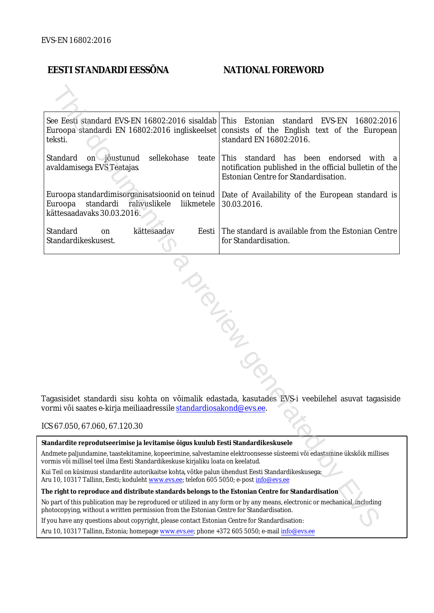# **EESTI STANDARDI EESSÕNA NATIONAL FOREWORD**

|                                                                                                                                                                                                              | See Eesti standard EVS-EN 16802:2016 sisaldab This Estonian<br>teksti.                                                                                                                                                 | standard<br>EVS-EN<br>16802:2016<br>Euroopa standardi EN 16802:2016 ingliskeelset consists of the English text of the European<br>standard EN 16802:2016. |  |  |
|--------------------------------------------------------------------------------------------------------------------------------------------------------------------------------------------------------------|------------------------------------------------------------------------------------------------------------------------------------------------------------------------------------------------------------------------|-----------------------------------------------------------------------------------------------------------------------------------------------------------|--|--|
|                                                                                                                                                                                                              | sellekohase<br>Standard<br>on jõustunud<br>avaldamisega EVS Teatajas                                                                                                                                                   | teate This standard has been endorsed<br>with a<br>notification published in the official bulletin of the<br>Estonian Centre for Standardisation.         |  |  |
|                                                                                                                                                                                                              | Euroopa standardimisorganisatsioonid on teinud  <br>Euroopa<br>standardi<br>rahvuslikele<br>liikmetele<br>kättesaadavaks 30.03.2016.                                                                                   | Date of Availability of the European standard is<br>30.03.2016.                                                                                           |  |  |
|                                                                                                                                                                                                              | Standard<br>kättesaadav<br>Eesti<br>on<br>Standardikeskusest.                                                                                                                                                          | The standard is available from the Estonian Centre<br>for Standardisation.                                                                                |  |  |
| Tagasisidet standardi sisu kohta on võimalik edastada, kasutades EVS-i veebilehel asuvat tagasiside<br>vormi või saates e-kirja meiliaadressile standardiosakond@evs.ee.<br>ICS 67.050, 67.060, 67.120.30    |                                                                                                                                                                                                                        |                                                                                                                                                           |  |  |
|                                                                                                                                                                                                              |                                                                                                                                                                                                                        |                                                                                                                                                           |  |  |
| Standardite reprodutseerimise ja levitamise õigus kuulub Eesti Standardikeskusele                                                                                                                            |                                                                                                                                                                                                                        |                                                                                                                                                           |  |  |
| Andmete paljundamine, taastekitamine, kopeerimine, salvestamine elektroonsesse süsteemi või edastamine ükskõik millises<br>vormis või millisel teel ilma Eesti Standardikeskuse kirjaliku loata on keelatud. |                                                                                                                                                                                                                        |                                                                                                                                                           |  |  |
|                                                                                                                                                                                                              | kui Teil on küsimusi standardite autorikaitse kohta, võtke palun ühendust Eesti Standardikeskusega:<br>Aru 10, 10317 Tallinn, Eesti; koduleht www.evs.ee; telefon 605 5050; e-post info@evs.ee                         |                                                                                                                                                           |  |  |
|                                                                                                                                                                                                              | The right to reproduce and distribute standards belongs to the Estonian Centre for Standardisation                                                                                                                     |                                                                                                                                                           |  |  |
|                                                                                                                                                                                                              | No part of this publication may be reproduced or utilized in any form or by any means, electronic or mechanical, including<br>ohotocopying, without a written permission from the Estonian Centre for Standardisation. |                                                                                                                                                           |  |  |
|                                                                                                                                                                                                              | If you have any questions about copyright, please contact Estonian Centre for Standardisation:                                                                                                                         |                                                                                                                                                           |  |  |
|                                                                                                                                                                                                              |                                                                                                                                                                                                                        |                                                                                                                                                           |  |  |

### ICS 67.050, 67.060, 67.120.30

Aru 10, 10317 Tallinn, Estonia; homepage [www.evs.ee](http://www.evs.ee/); phone +372 605 5050; e-mail info@evs.ee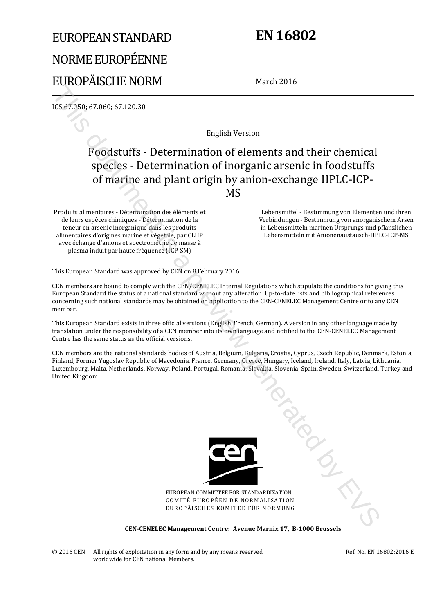# EUROPEAN STANDARD NORME EUROPÉENNE EUROPÄISCHE NORM

# **EN 16802**

March 2016

ICS 67.050; 67.060; 67.120.30

English Version

# Foodstuffs - Determination of elements and their chemical species - Determination of inorganic arsenic in foodstuffs of marine and plant origin by anion-exchange HPLC-ICP-MS This document is a present in the contribution of elements and their chemical<br>response to the control of the control of the control of the control of the control of the control of the control of the control of the control

Produits alimentaires - Détermination des éléments et de leurs espèces chimiques - Détermination de la teneur en arsenic inorganique dans les produits alimentaires d'origines marine et végétale, par CLHP avec échange d'anions et spectrométrie de masse à plasma induit par haute fréquence (ICP-SM)

 Lebensmittel - Bestimmung von Elementen und ihren Verbindungen - Bestimmung von anorganischem Arsen in Lebensmitteln marinen Ursprungs und pflanzlichen Lebensmitteln mit Anionenaustausch-HPLC-ICP-MS

This European Standard was approved by CEN on 8 February 2016.

CEN members are bound to comply with the CEN/CENELEC Internal Regulations which stipulate the conditions for giving this European Standard the status of a national standard without any alteration. Up-to-date lists and bibliographical references concerning such national standards may be obtained on application to the CEN-CENELEC Management Centre or to any CEN member.

This European Standard exists in three official versions (English, French, German). A version in any other language made by translation under the responsibility of a CEN member into its own language and notified to the CEN-CENELEC Management Centre has the same status as the official versions.

CEN members are the national standards bodies of Austria, Belgium, Bulgaria, Croatia, Cyprus, Czech Republic, Denmark, Estonia, Finland, Former Yugoslav Republic of Macedonia, France, Germany, Greece, Hungary, Iceland, Ireland, Italy, Latvia, Lithuania, Luxembourg, Malta, Netherlands, Norway, Poland, Portugal, Romania, Slovakia, Slovenia, Spain, Sweden, Switzerland, Turkey and United Kingdom.



EUROPEAN COMMITTEE FOR STANDARDIZATION COMITÉ EUROPÉEN DE NORMALISATION EUROPÄISCHES KOMITEE FÜR NORMUNG

### **CEN-CENELEC Management Centre: Avenue Marnix 17, B-1000 Brussels**

Ref. No. EN 16802:2016 E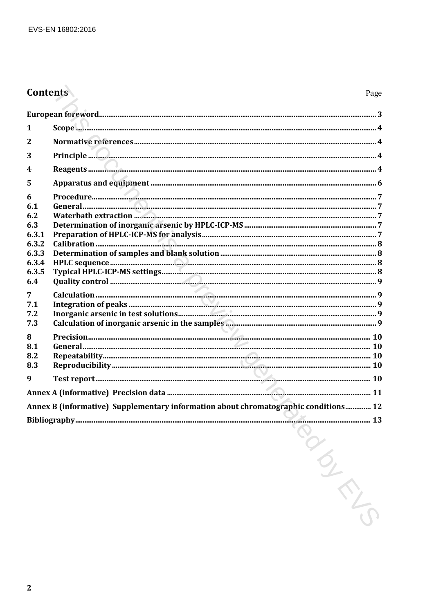# Contents

| $\mathbf{1}$     |                                                                                     |  |  |  |
|------------------|-------------------------------------------------------------------------------------|--|--|--|
| $\mathbf{2}$     |                                                                                     |  |  |  |
| 3                |                                                                                     |  |  |  |
| $\boldsymbol{4}$ |                                                                                     |  |  |  |
| 5                |                                                                                     |  |  |  |
| 6<br>6.1         |                                                                                     |  |  |  |
| 6.2              |                                                                                     |  |  |  |
| 6.3<br>6.3.1     |                                                                                     |  |  |  |
| 6.3.2            |                                                                                     |  |  |  |
| 6.3.3            |                                                                                     |  |  |  |
| 6.3.4            |                                                                                     |  |  |  |
| 6.3.5<br>6.4     |                                                                                     |  |  |  |
|                  |                                                                                     |  |  |  |
| 7<br>7.1         |                                                                                     |  |  |  |
| 7.2              |                                                                                     |  |  |  |
| 7.3              |                                                                                     |  |  |  |
| 8                |                                                                                     |  |  |  |
| 8.1              |                                                                                     |  |  |  |
| 8.2              |                                                                                     |  |  |  |
| 8.3              |                                                                                     |  |  |  |
| 9                |                                                                                     |  |  |  |
|                  |                                                                                     |  |  |  |
|                  | Annex B (informative) Supplementary information about chromatographic conditions 12 |  |  |  |
|                  |                                                                                     |  |  |  |
|                  |                                                                                     |  |  |  |
|                  |                                                                                     |  |  |  |
|                  |                                                                                     |  |  |  |
|                  |                                                                                     |  |  |  |
|                  |                                                                                     |  |  |  |
|                  |                                                                                     |  |  |  |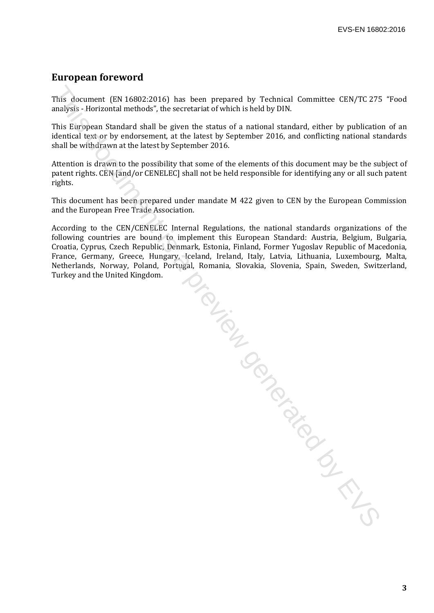# **European foreword**

This document (EN 16802:2016) has been prepared by Technical Committee CEN/TC 275 "Food analysis - Horizontal methods", the secretariat of which is held by DIN.

This European Standard shall be given the status of a national standard, either by publication of an identical text or by endorsement, at the latest by September 2016, and conflicting national standards shall be withdrawn at the latest by September 2016.

Attention is drawn to the possibility that some of the elements of this document may be the subject of patent rights. CEN [and/or CENELEC] shall not be held responsible for identifying any or all such patent rights.

This document has been prepared under mandate M 422 given to CEN by the European Commission and the European Free Trade Association.

According to the CEN/CENELEC Internal Regulations, the national standards organizations of the following countries are bound to implement this European Standard: Austria, Belgium, Bulgaria, Croatia, Cyprus, Czech Republic, Denmark, Estonia, Finland, Former Yugoslav Republic of Macedonia, France, Germany, Greece, Hungary, Iceland, Ireland, Italy, Latvia, Lithuania, Luxembourg, Malta, Netherlands, Norway, Poland, Portugal, Romania, Slovakia, Slovenia, Spain, Sweden, Switzerland, Turkey and the United Kingdom.

The Review of the Contract of the Contract of the Contract of the Contract of the Contract of the Contract of Contract of Contract of Contract of Contract of Contract of Contract of Contract of Contract of Contract of Cont